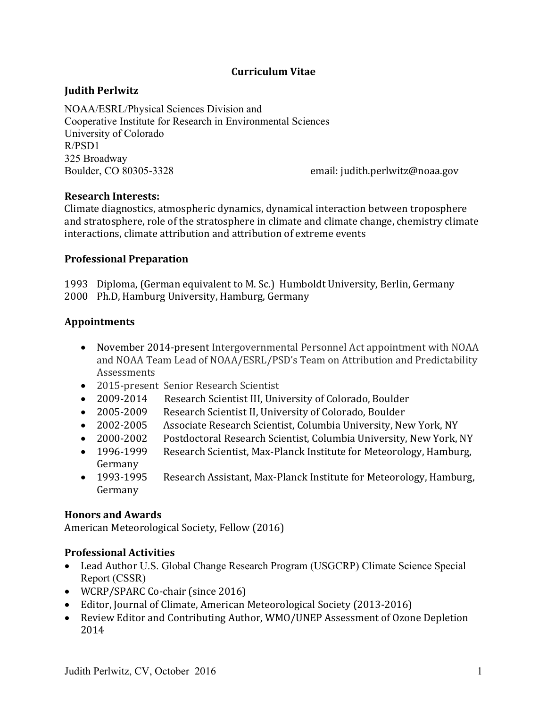## **Curriculum Vitae**

## **Judith Perlwitz**

NOAA/ESRL/Physical Sciences Division and Cooperative Institute for Research in Environmental Sciences University of Colorado R/PSD1 325 Broadway Boulder, CO 80305-3328 email: judith.perlwitz@noaa.gov

#### **Research Interests:**

Climate diagnostics, atmospheric dynamics, dynamical interaction between troposphere and stratosphere, role of the stratosphere in climate and climate change, chemistry climate interactions, climate attribution and attribution of extreme events

#### **Professional Preparation**

1993 Diploma, (German equivalent to M. Sc.) Humboldt University, Berlin, Germany 2000 Ph.D, Hamburg University, Hamburg, Germany

### **Appointments**

- November 2014-present Intergovernmental Personnel Act appointment with NOAA and NOAA Team Lead of NOAA/ESRL/PSD's Team on Attribution and Predictability Assessments
- 2015-present Senior Research Scientist
- 2009-2014 Research Scientist III, University of Colorado, Boulder
- 2005-2009 Research Scientist II, University of Colorado, Boulder
- 2002-2005 Associate Research Scientist, Columbia University, New York, NY
- 2000-2002 Postdoctoral Research Scientist, Columbia University, New York, NY
- 1996-1999 Research Scientist, Max-Planck Institute for Meteorology, Hamburg, Germany
- 1993-1995 Research Assistant, Max-Planck Institute for Meteorology, Hamburg, Germany

#### **Honors and Awards**

American Meteorological Society, Fellow (2016)

### **Professional Activities**

- Lead Author U.S. Global Change Research Program (USGCRP) Climate Science Special Report (CSSR)
- WCRP/SPARC Co-chair (since 2016)
- Editor, Journal of Climate, American Meteorological Society (2013-2016)
- Review Editor and Contributing Author, WMO/UNEP Assessment of Ozone Depletion 2014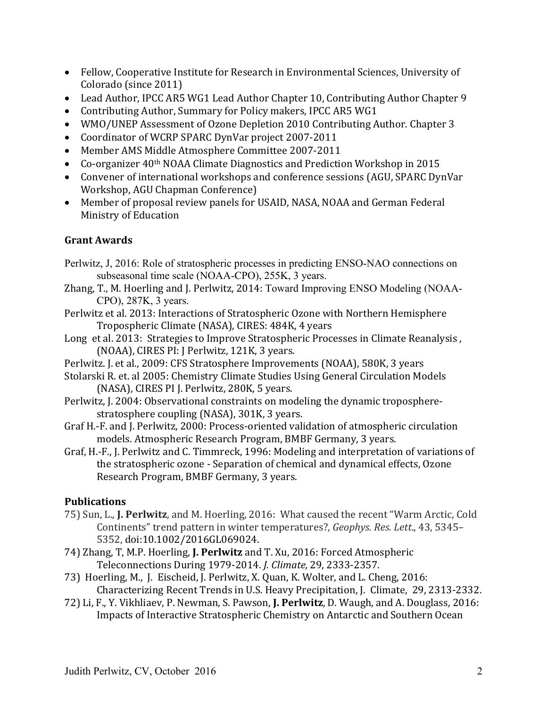- Fellow, Cooperative Institute for Research in Environmental Sciences, University of Colorado (since 2011)
- Lead Author, IPCC AR5 WG1 Lead Author Chapter 10, Contributing Author Chapter 9
- Contributing Author, Summary for Policy makers, IPCC AR5 WG1
- WMO/UNEP Assessment of Ozone Depletion 2010 Contributing Author. Chapter 3
- Coordinator of WCRP SPARC DynVar project 2007-2011
- Member AMS Middle Atmosphere Committee 2007-2011
- Co-organizer 40<sup>th</sup> NOAA Climate Diagnostics and Prediction Workshop in 2015
- Convener of international workshops and conference sessions (AGU, SPARC DynVar Workshop, AGU Chapman Conference)
- Member of proposal review panels for USAID, NASA, NOAA and German Federal Ministry of Education

## **Grant Awards**

- Perlwitz, J, 2016: Role of stratospheric processes in predicting ENSO-NAO connections on subseasonal time scale (NOAA-CPO), 255K, 3 years.
- Zhang, T., M. Hoerling and J. Perlwitz, 2014: Toward Improving ENSO Modeling (NOAA-CPO), 287K, 3 years.
- Perlwitz et al. 2013: Interactions of Stratospheric Ozone with Northern Hemisphere Tropospheric Climate (NASA), CIRES: 484K, 4 years
- Long et al. 2013: Strategies to Improve Stratospheric Processes in Climate Reanalysis, (NOAA), CIRES PI: J Perlwitz, 121K, 3 years.
- Perlwitz. J. et al., 2009: CFS Stratosphere Improvements (NOAA), 580K, 3 years
- Stolarski R. et. al 2005: Chemistry Climate Studies Using General Circulation Models (NASA), CIRES PI J. Perlwitz, 280K, 5 years.
- Perlwitz, J. 2004: Observational constraints on modeling the dynamic tropospherestratosphere coupling (NASA), 301K, 3 years.
- Graf H.-F. and J. Perlwitz, 2000: Process-oriented validation of atmospheric circulation models. Atmospheric Research Program, BMBF Germany, 3 years.
- Graf, H.-F., J. Perlwitz and C. Timmreck, 1996: Modeling and interpretation of variations of the stratospheric ozone - Separation of chemical and dynamical effects, Ozone Research Program, BMBF Germany, 3 years.

# **Publications**

- 75) Sun, L., J. Perlwitz, and M. Hoerling, 2016: What caused the recent "Warm Arctic, Cold Continents" trend pattern in winter temperatures?, *Geophys. Res. Lett.*, 43, 5345– 5352, doi:10.1002/2016GL069024.
- 74) Zhang, T, M.P. Hoerling, J. Perlwitz and T. Xu, 2016: Forced Atmospheric Teleconnections During 1979-2014. *J. Climate,* 29, 2333-2357.
- 73) Hoerling, M., J. Eischeid, J. Perlwitz, X. Quan, K. Wolter, and L. Cheng, 2016: Characterizing Recent Trends in U.S. Heavy Precipitation, J. Climate, 29, 2313-2332.
- 72) Li, F., Y. Vikhliaev, P. Newman, S. Pawson, J. Perlwitz, D. Waugh, and A. Douglass, 2016: Impacts of Interactive Stratospheric Chemistry on Antarctic and Southern Ocean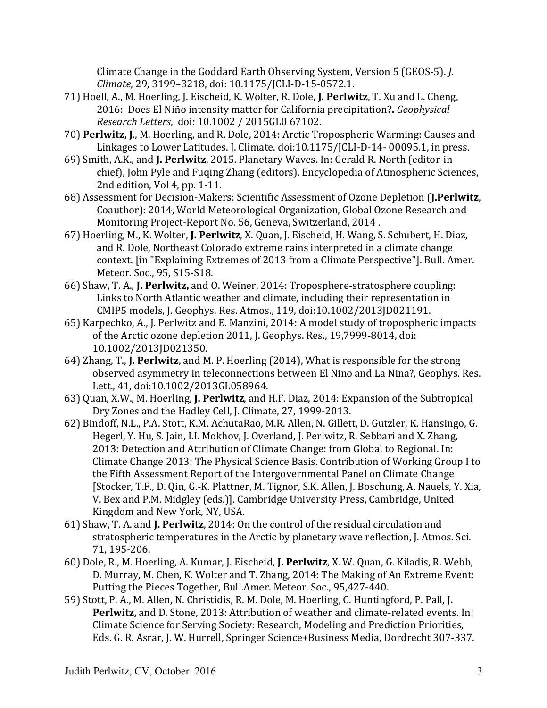Climate Change in the Goddard Earth Observing System, Version 5 (GEOS-5). *J. Climate*, 29, 3199–3218, doi: 10.1175/JCLI-D-15-0572.1. 

- 71) Hoell, A., M. Hoerling, J. Eischeid, K. Wolter, R. Dole, J. Perlwitz, T. Xu and L. Cheng, 2016: Does El Niño intensity matter for California precipitation**?.** *Geophysical Research Letters*, doi: 10.1002 / 2015GL0 67102.
- 70) **Perlwitz, J.**, M. Hoerling, and R. Dole, 2014: Arctic Tropospheric Warming: Causes and Linkages to Lower Latitudes. J. Climate. doi:10.1175/JCLI-D-14- 00095.1, in press.
- 69) Smith, A.K., and J. Perlwitz, 2015. Planetary Waves. In: Gerald R. North (editor-inchief), John Pyle and Fuging Zhang (editors). Encyclopedia of Atmospheric Sciences, 2nd edition, Vol 4, pp. 1-11.
- 68) Assessment for Decision-Makers: Scientific Assessment of Ozone Depletion (J.Perlwitz, Coauthor): 2014, World Meteorological Organization, Global Ozone Research and Monitoring Project-Report No. 56, Geneva, Switzerland, 2014.
- 67) Hoerling, M., K. Wolter, J. Perlwitz, X. Quan, J. Eischeid, H. Wang, S. Schubert, H. Diaz, and R. Dole, Northeast Colorado extreme rains interpreted in a climate change context. [in "Explaining Extremes of 2013 from a Climate Perspective"]. Bull. Amer. Meteor. Soc., 95, S15-S18.
- 66) Shaw, T. A., **J. Perlwitz**, and O. Weiner, 2014: Troposphere-stratosphere coupling: Links to North Atlantic weather and climate, including their representation in CMIP5 models, J. Geophys. Res. Atmos., 119, doi:10.1002/2013JD021191.
- 65) Karpechko, A., J. Perlwitz and E. Manzini, 2014: A model study of tropospheric impacts of the Arctic ozone depletion 2011, J. Geophys. Res., 19,7999-8014, doi: 10.1002/2013JD021350.
- 64) Zhang, T., **J. Perlwitz**, and M. P. Hoerling (2014), What is responsible for the strong observed asymmetry in teleconnections between El Nino and La Nina?, Geophys. Res. Lett., 41, doi:10.1002/2013GL058964.
- 63) Quan, X.W., M. Hoerling, J. Perlwitz, and H.F. Diaz, 2014: Expansion of the Subtropical Dry Zones and the Hadley Cell, J. Climate, 27, 1999-2013.
- 62) Bindoff, N.L., P.A. Stott, K.M. AchutaRao, M.R. Allen, N. Gillett, D. Gutzler, K. Hansingo, G. Hegerl, Y. Hu, S. Jain, I.I. Mokhov, J. Overland, J. Perlwitz, R. Sebbari and X. Zhang, 2013: Detection and Attribution of Climate Change: from Global to Regional. In: Climate Change 2013: The Physical Science Basis. Contribution of Working Group I to the Fifth Assessment Report of the Intergovernmental Panel on Climate Change [Stocker, T.F., D. Qin, G.-K. Plattner, M. Tignor, S.K. Allen, J. Boschung, A. Nauels, Y. Xia, V. Bex and P.M. Midgley (eds.)]. Cambridge University Press, Cambridge, United Kingdom and New York, NY, USA.
- 61) Shaw, T. A. and **J. Perlwitz**, 2014: On the control of the residual circulation and stratospheric temperatures in the Arctic by planetary wave reflection, J. Atmos. Sci. 71, 195-206.
- 60) Dole, R., M. Hoerling, A. Kumar, J. Eischeid, J. Perlwitz, X. W. Quan, G. Kiladis, R. Webb, D. Murray, M. Chen, K. Wolter and T. Zhang, 2014: The Making of An Extreme Event: Putting the Pieces Together, Bull.Amer. Meteor. Soc., 95,427-440.
- 59) Stott, P. A., M. Allen, N. Christidis, R. M. Dole, M. Hoerling, C. Huntingford, P. Pall, J. **Perlwitz,** and D. Stone, 2013: Attribution of weather and climate-related events. In: Climate Science for Serving Society: Research, Modeling and Prediction Priorities, Eds. G. R. Asrar, J. W. Hurrell, Springer Science+Business Media, Dordrecht 307-337.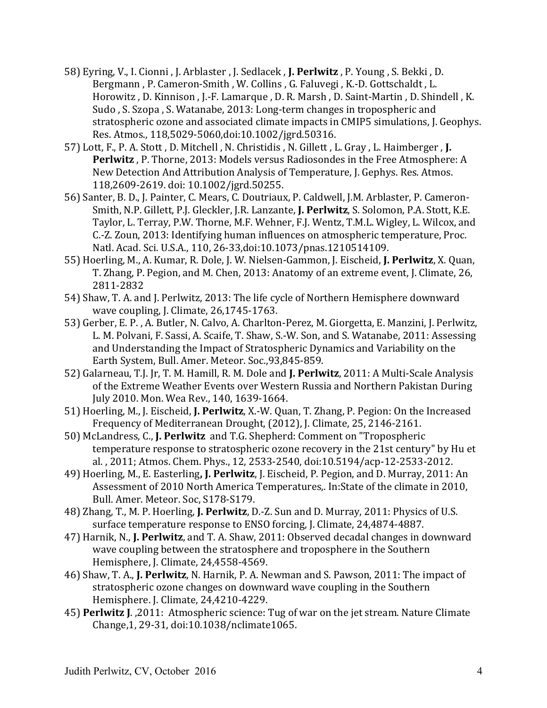- 58) Eyring, V., I. Cionni, J. Arblaster, J. Sedlacek, J. Perlwitz, P. Young, S. Bekki, D. Bergmann, P. Cameron-Smith, W. Collins, G. Faluvegi, K.-D. Gottschaldt, L. Horowitz, D. Kinnison, J.-F. Lamarque, D. R. Marsh, D. Saint-Martin, D. Shindell, K. Sudo, S. Szopa, S. Watanabe, 2013: Long-term changes in tropospheric and stratospheric ozone and associated climate impacts in CMIP5 simulations, J. Geophys. Res. Atmos., 118,5029-5060,doi:10.1002/jgrd.50316.
- 57) Lott, F., P. A. Stott, D. Mitchell, N. Christidis, N. Gillett, L. Gray, L. Haimberger, J. **Perlwitz**, P. Thorne, 2013: Models versus Radiosondes in the Free Atmosphere: A New Detection And Attribution Analysis of Temperature, J. Gephys. Res. Atmos. 118,2609-2619. doi: 10.1002/jgrd.50255.
- 56) Santer, B. D., J. Painter, C. Mears, C. Doutriaux, P. Caldwell, J.M. Arblaster, P. Cameron-Smith, N.P. Gillett, P.J. Gleckler, J.R. Lanzante, J. Perlwitz, S. Solomon, P.A. Stott, K.E. Taylor, L. Terray, P.W. Thorne, M.F. Wehner, F.J. Wentz, T.M.L. Wigley, L. Wilcox, and C.-Z. Zoun, 2013: Identifying human influences on atmospheric temperature, Proc. Natl. Acad. Sci. U.S.A., 110, 26-33,doi:10.1073/pnas.1210514109.
- 55) Hoerling, M., A. Kumar, R. Dole, J. W. Nielsen-Gammon, J. Eischeid, J. Perlwitz, X. Quan, T. Zhang, P. Pegion, and M. Chen, 2013: Anatomy of an extreme event, J. Climate, 26, 2811-2832
- 54) Shaw, T. A. and J. Perlwitz, 2013: The life cycle of Northern Hemisphere downward wave coupling, J. Climate,  $26,1745-1763$ .
- 53) Gerber, E. P., A. Butler, N. Calvo, A. Charlton-Perez, M. Giorgetta, E. Manzini, J. Perlwitz, L. M. Polvani, F. Sassi, A. Scaife, T. Shaw, S.-W. Son, and S. Watanabe, 2011: Assessing and Understanding the Impact of Stratospheric Dynamics and Variability on the Earth System, Bull. Amer. Meteor. Soc.,93,845-859.
- 52) Galarneau, T.J. Jr, T. M. Hamill, R. M. Dole and J. Perlwitz, 2011: A Multi-Scale Analysis of the Extreme Weather Events over Western Russia and Northern Pakistan During July 2010. Mon. Wea Rev., 140, 1639-1664.
- 51) Hoerling, M., J. Eischeid, **J. Perlwitz**, X.-W. Quan, T. Zhang, P. Pegion: On the Increased Frequency of Mediterranean Drought, (2012), J. Climate, 25, 2146-2161.
- 50) McLandress, C., **J. Perlwitz** and T.G. Shepherd: Comment on "Tropospheric temperature response to stratospheric ozone recovery in the 21st century" by Hu et al., 2011; Atmos. Chem. Phys., 12, 2533-2540, doi:10.5194/acp-12-2533-2012.
- 49) Hoerling, M., E. Easterling, **J. Perlwitz**, J. Eischeid, P. Pegion, and D. Murray, 2011: An Assessment of 2010 North America Temperatures,. In:State of the climate in 2010, Bull. Amer. Meteor. Soc, S178-S179.
- 48) Zhang, T., M. P. Hoerling, **J. Perlwitz**, D.-Z. Sun and D. Murray, 2011: Physics of U.S. surface temperature response to ENSO forcing, J. Climate, 24,4874-4887.
- 47) Harnik, N., **J. Perlwitz**, and T. A. Shaw, 2011: Observed decadal changes in downward wave coupling between the stratosphere and troposphere in the Southern Hemisphere, J. Climate, 24,4558-4569.
- 46) Shaw, T. A., J. Perlwitz, N. Harnik, P. A. Newman and S. Pawson, 2011: The impact of stratospheric ozone changes on downward wave coupling in the Southern Hemisphere. J. Climate, 24,4210-4229.
- 45) **Perlwitz J.**, 2011: Atmospheric science: Tug of war on the jet stream. Nature Climate Change, 1, 29-31, doi: 10.1038/nclimate 1065.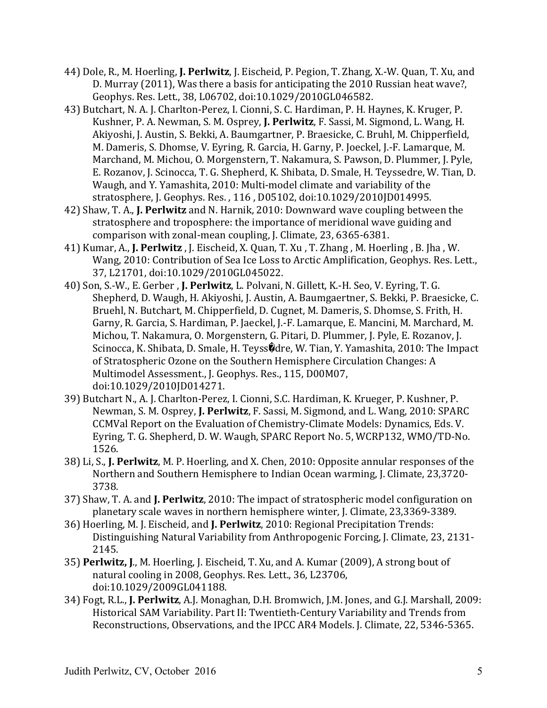- 44) Dole, R., M. Hoerling, **J. Perlwitz**, J. Eischeid, P. Pegion, T. Zhang, X.-W. Quan, T. Xu, and D. Murray (2011), Was there a basis for anticipating the 2010 Russian heat wave?, Geophys. Res. Lett., 38, L06702, doi:10.1029/2010GL046582.
- 43) Butchart, N. A. J. Charlton-Perez, I. Cionni, S. C. Hardiman, P. H. Haynes, K. Kruger, P. Kushner, P. A. Newman, S. M. Osprey, **J. Perlwitz**, F. Sassi, M. Sigmond, L. Wang, H. Akiyoshi, J. Austin, S. Bekki, A. Baumgartner, P. Braesicke, C. Bruhl, M. Chipperfield, M. Dameris, S. Dhomse, V. Eyring, R. Garcia, H. Garny, P. Joeckel, J.-F. Lamarque, M. Marchand, M. Michou, O. Morgenstern, T. Nakamura, S. Pawson, D. Plummer, J. Pyle, E. Rozanov, J. Scinocca, T. G. Shepherd, K. Shibata, D. Smale, H. Teyssedre, W. Tian, D. Waugh, and Y. Yamashita, 2010: Multi-model climate and variability of the stratosphere, J. Geophys. Res., 116, D05102, doi:10.1029/2010JD014995.
- 42) Shaw, T. A., J. Perlwitz and N. Harnik, 2010: Downward wave coupling between the stratosphere and troposphere: the importance of meridional wave guiding and comparison with zonal-mean coupling, J. Climate,  $23, 6365-6381$ .
- 41) Kumar, A., **J. Perlwitz**, J. Eischeid, X. Quan, T. Xu, T. Zhang, M. Hoerling, B. Jha, W. Wang, 2010: Contribution of Sea Ice Loss to Arctic Amplification, Geophys. Res. Lett., 37, L21701, doi:10.1029/2010GL045022.
- 40) Son, S.-W., E. Gerber, J. Perlwitz, L. Polvani, N. Gillett, K.-H. Seo, V. Eyring, T. G. Shepherd, D. Waugh, H. Akiyoshi, J. Austin, A. Baumgaertner, S. Bekki, P. Braesicke, C. Bruehl, N. Butchart, M. Chipperfield, D. Cugnet, M. Dameris, S. Dhomse, S. Frith, H. Garny, R. Garcia, S. Hardiman, P. Jaeckel, J.-F. Lamarque, E. Mancini, M. Marchard, M. Michou, T. Nakamura, O. Morgenstern, G. Pitari, D. Plummer, J. Pyle, E. Rozanov, J. Scinocca, K. Shibata, D. Smale, H. Teyss@dre, W. Tian, Y. Yamashita, 2010: The Impact of Stratospheric Ozone on the Southern Hemisphere Circulation Changes: A Multimodel Assessment., J. Geophys. Res., 115, D00M07, doi:10.1029/2010JD014271.
- 39) Butchart N., A. J. Charlton-Perez, I. Cionni, S.C. Hardiman, K. Krueger, P. Kushner, P. Newman, S. M. Osprey, **J. Perlwitz**, F. Sassi, M. Sigmond, and L. Wang, 2010: SPARC CCMVal Report on the Evaluation of Chemistry-Climate Models: Dynamics, Eds. V. Eyring, T. G. Shepherd, D. W. Waugh, SPARC Report No. 5, WCRP132, WMO/TD-No. 1526.
- 38) Li, S., **J. Perlwitz**, M. P. Hoerling, and X. Chen, 2010: Opposite annular responses of the Northern and Southern Hemisphere to Indian Ocean warming, J. Climate, 23,3720-3738.
- 37) Shaw, T. A. and **J. Perlwitz**, 2010: The impact of stratospheric model configuration on planetary scale waves in northern hemisphere winter, J. Climate, 23,3369-3389.
- 36) Hoerling, M. J. Eischeid, and **J. Perlwitz**, 2010: Regional Precipitation Trends: Distinguishing Natural Variability from Anthropogenic Forcing, J. Climate, 23, 2131-2145.
- 35) **Perlwitz, J., M. Hoerling, J. Eischeid, T. Xu, and A. Kumar (2009), A strong bout of** natural cooling in 2008, Geophys. Res. Lett., 36, L23706, doi:10.1029/2009GL041188.
- 34) Fogt, R.L., J. Perlwitz, A.J. Monaghan, D.H. Bromwich, J.M. Jones, and G.J. Marshall, 2009: Historical SAM Variability. Part II: Twentieth-Century Variability and Trends from Reconstructions, Observations, and the IPCC AR4 Models. J. Climate, 22, 5346-5365.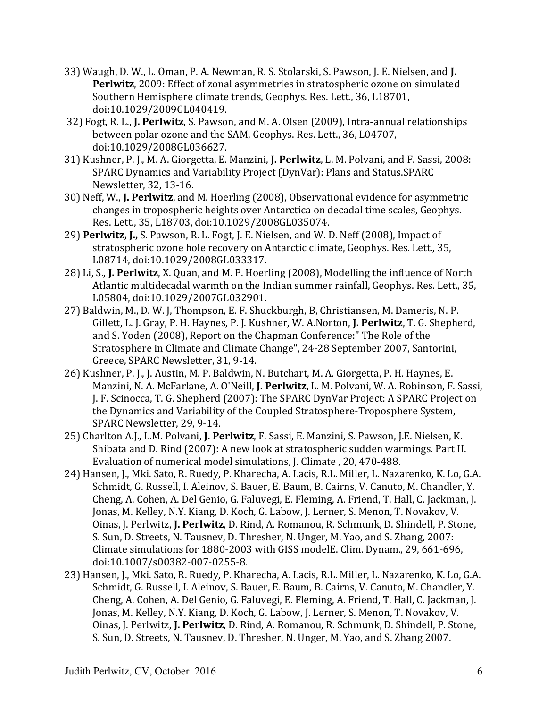- 33) Waugh, D. W., L. Oman, P. A. Newman, R. S. Stolarski, S. Pawson, J. E. Nielsen, and **J. Perlwitz**, 2009: Effect of zonal asymmetries in stratospheric ozone on simulated Southern Hemisphere climate trends, Geophys. Res. Lett., 36, L18701, doi:10.1029/2009GL040419.
- 32) Fogt, R. L., J. Perlwitz, S. Pawson, and M. A. Olsen (2009), Intra-annual relationships between polar ozone and the SAM, Geophys. Res. Lett., 36, L04707, doi:10.1029/2008GL036627.
- 31) Kushner, P. J., M. A. Giorgetta, E. Manzini, J. Perlwitz, L. M. Polvani, and F. Sassi, 2008: SPARC Dynamics and Variability Project (DynVar): Plans and Status.SPARC Newsletter, 32, 13-16.
- 30) Neff, W., **J. Perlwitz**, and M. Hoerling (2008), Observational evidence for asymmetric changes in tropospheric heights over Antarctica on decadal time scales, Geophys. Res. Lett., 35, L18703, doi:10.1029/2008GL035074.
- 29) **Perlwitz, J.,** S. Pawson, R. L. Fogt, J. E. Nielsen, and W. D. Neff (2008), Impact of stratospheric ozone hole recovery on Antarctic climate, Geophys. Res. Lett., 35, L08714, doi:10.1029/2008GL033317.
- 28) Li, S., **J. Perlwitz**, X. Quan, and M. P. Hoerling (2008), Modelling the influence of North Atlantic multidecadal warmth on the Indian summer rainfall, Geophys. Res. Lett., 35, L05804, doi:10.1029/2007GL032901.
- 27) Baldwin, M., D. W. J. Thompson, E. F. Shuckburgh, B. Christiansen, M. Dameris, N. P. Gillett, L. J. Gray, P. H. Haynes, P. J. Kushner, W. A.Norton, J. Perlwitz, T. G. Shepherd, and S. Yoden (2008), Report on the Chapman Conference:" The Role of the Stratosphere in Climate and Climate Change", 24-28 September 2007, Santorini, Greece, SPARC Newsletter, 31, 9-14.
- 26) Kushner, P. J., J. Austin, M. P. Baldwin, N. Butchart, M. A. Giorgetta, P. H. Haynes, E. Manzini, N. A. McFarlane, A. O'Neill, **J. Perlwitz**, L. M. Polvani, W. A. Robinson, F. Sassi, J. F. Scinocca, T. G. Shepherd (2007): The SPARC DynVar Project: A SPARC Project on the Dynamics and Variability of the Coupled Stratosphere-Troposphere System, SPARC Newsletter, 29, 9-14.
- 25) Charlton A.J., L.M. Polvani, **J. Perlwitz**, F. Sassi, E. Manzini, S. Pawson, J.E. Nielsen, K. Shibata and D. Rind (2007): A new look at stratospheric sudden warmings. Part II. Evaluation of numerical model simulations, J. Climate, 20, 470-488.
- 24) Hansen, J., Mki. Sato, R. Ruedy, P. Kharecha, A. Lacis, R.L. Miller, L. Nazarenko, K. Lo, G.A. Schmidt, G. Russell, I. Aleinov, S. Bauer, E. Baum, B. Cairns, V. Canuto, M. Chandler, Y. Cheng, A. Cohen, A. Del Genio, G. Faluvegi, E. Fleming, A. Friend, T. Hall, C. Jackman, J. Jonas, M. Kelley, N.Y. Kiang, D. Koch, G. Labow, J. Lerner, S. Menon, T. Novakov, V. Oinas, J. Perlwitz, J. Perlwitz, D. Rind, A. Romanou, R. Schmunk, D. Shindell, P. Stone, S. Sun, D. Streets, N. Tausnev, D. Thresher, N. Unger, M. Yao, and S. Zhang, 2007: Climate simulations for 1880-2003 with GISS modelE. Clim. Dynam., 29, 661-696, doi:10.1007/s00382-007-0255-8.
- 23) Hansen, J., Mki. Sato, R. Ruedy, P. Kharecha, A. Lacis, R.L. Miller, L. Nazarenko, K. Lo, G.A. Schmidt, G. Russell, I. Aleinov, S. Bauer, E. Baum, B. Cairns, V. Canuto, M. Chandler, Y. Cheng, A. Cohen, A. Del Genio, G. Faluvegi, E. Fleming, A. Friend, T. Hall, C. Jackman, J. Jonas, M. Kelley, N.Y. Kiang, D. Koch, G. Labow, J. Lerner, S. Menon, T. Novakov, V. Oinas, J. Perlwitz, **J. Perlwitz**, D. Rind, A. Romanou, R. Schmunk, D. Shindell, P. Stone, S. Sun, D. Streets, N. Tausnev, D. Thresher, N. Unger, M. Yao, and S. Zhang 2007.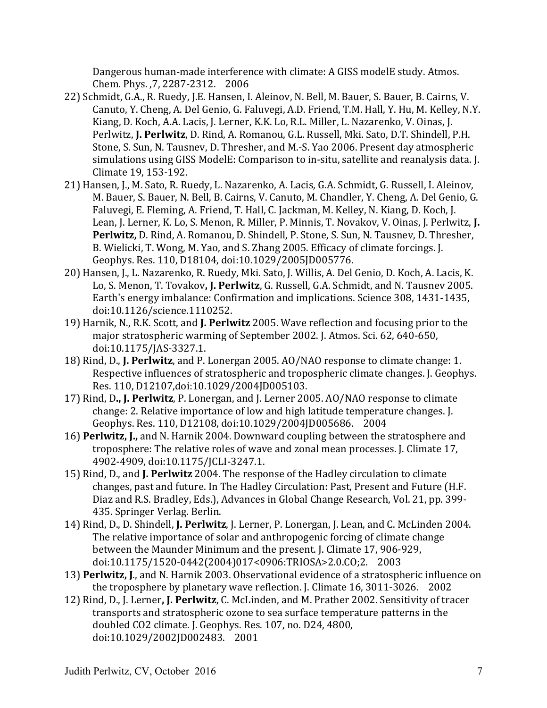Dangerous human-made interference with climate: A GISS modelE study. Atmos. Chem. Phys. .7, 2287-2312. 2006

- 22) Schmidt, G.A., R. Ruedy, J.E. Hansen, I. Aleinov, N. Bell, M. Bauer, S. Bauer, B. Cairns, V. Canuto, Y. Cheng, A. Del Genio, G. Faluvegi, A.D. Friend, T.M. Hall, Y. Hu, M. Kelley, N.Y. Kiang, D. Koch, A.A. Lacis, J. Lerner, K.K. Lo, R.L. Miller, L. Nazarenko, V. Oinas, J. Perlwitz, **J. Perlwitz**, D. Rind. A. Romanou, G.L. Russell, Mki. Sato, D.T. Shindell, P.H. Stone, S. Sun, N. Tausnev, D. Thresher, and M.-S. Yao 2006. Present day atmospheric simulations using GISS ModelE: Comparison to in-situ, satellite and reanalysis data. J. Climate 19, 153-192.
- 21) Hansen, J., M. Sato, R. Ruedy, L. Nazarenko, A. Lacis, G.A. Schmidt, G. Russell, I. Aleinov, M. Bauer, S. Bauer, N. Bell, B. Cairns, V. Canuto, M. Chandler, Y. Cheng, A. Del Genio, G. Faluvegi, E. Fleming, A. Friend, T. Hall, C. Jackman, M. Kelley, N. Kiang, D. Koch, J. Lean, J. Lerner, K. Lo, S. Menon, R. Miller, P. Minnis, T. Novakov, V. Oinas, J. Perlwitz, J. Perlwitz, D. Rind, A. Romanou, D. Shindell, P. Stone, S. Sun, N. Tausnev, D. Thresher, B. Wielicki, T. Wong, M. Yao, and S. Zhang 2005. Efficacy of climate forcings. J. Geophys. Res. 110, D18104, doi:10.1029/2005JD005776.
- 20) Hansen, J., L. Nazarenko, R. Ruedy, Mki. Sato, J. Willis, A. Del Genio, D. Koch, A. Lacis, K. Lo, S. Menon, T. Tovakov, J. Perlwitz, G. Russell, G.A. Schmidt, and N. Tausnev 2005. Earth's energy imbalance: Confirmation and implications. Science 308, 1431-1435, doi:10.1126/science.1110252.
- 19) Harnik, N., R.K. Scott, and **J. Perlwitz** 2005. Wave reflection and focusing prior to the major stratospheric warming of September 2002. J. Atmos. Sci. 62, 640-650, doi:10.1175/JAS-3327.1.
- 18) Rind, D., **J. Perlwitz**, and P. Lonergan 2005. AO/NAO response to climate change: 1. Respective influences of stratospheric and tropospheric climate changes. J. Geophys. Res. 110, D12107,doi:10.1029/2004JD005103.
- 17) Rind, D., J. Perlwitz, P. Lonergan, and J. Lerner 2005. AO/NAO response to climate change: 2. Relative importance of low and high latitude temperature changes. J. Geophys. Res. 110, D12108, doi:10.1029/2004JD005686. 2004
- 16) **Perlwitz, J.,** and N. Harnik 2004. Downward coupling between the stratosphere and troposphere: The relative roles of wave and zonal mean processes. J. Climate 17, 4902-4909, doi:10.1175/JCLI-3247.1.
- 15) Rind, D., and **J. Perlwitz** 2004. The response of the Hadley circulation to climate changes, past and future. In The Hadley Circulation: Past, Present and Future (H.F. Diaz and R.S. Bradley, Eds.), Advances in Global Change Research, Vol. 21, pp. 399-435. Springer Verlag. Berlin.
- 14) Rind, D., D. Shindell, J. Perlwitz, J. Lerner, P. Lonergan, J. Lean, and C. McLinden 2004. The relative importance of solar and anthropogenic forcing of climate change between the Maunder Minimum and the present. J. Climate 17, 906-929, doi:10.1175/1520-0442(2004)017<0906:TRIOSA>2.0.CO;2. 2003
- 13) **Perlwitz, J.**, and N. Harnik 2003. Observational evidence of a stratospheric influence on the troposphere by planetary wave reflection. J. Climate  $16, 3011$ -3026.  $2002$
- 12) Rind, D., J. Lerner, J. Perlwitz, C. McLinden, and M. Prather 2002. Sensitivity of tracer transports and stratospheric ozone to sea surface temperature patterns in the doubled CO2 climate. J. Geophys. Res. 107, no. D24, 4800, doi:10.1029/2002JD002483. 2001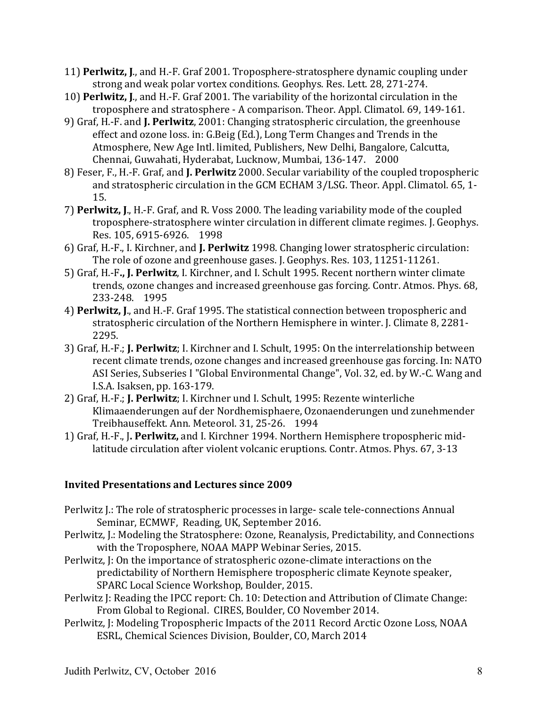- 11) **Perlwitz, J.**, and H.-F. Graf 2001. Troposphere-stratosphere dynamic coupling under strong and weak polar vortex conditions. Geophys. Res. Lett. 28, 271-274.
- 10) **Perlwitz, J.**, and H.-F. Graf 2001. The variability of the horizontal circulation in the troposphere and stratosphere - A comparison. Theor. Appl. Climatol. 69, 149-161.
- 9) Graf, H.-F. and **J. Perlwitz**, 2001: Changing stratospheric circulation, the greenhouse effect and ozone loss. in: G.Beig (Ed.), Long Term Changes and Trends in the Atmosphere, New Age Intl. limited, Publishers, New Delhi, Bangalore, Calcutta, Chennai, Guwahati, Hyderabat, Lucknow, Mumbai, 136-147. 2000
- 8) Feser, F., H.-F. Graf, and **J. Perlwitz** 2000. Secular variability of the coupled tropospheric and stratospheric circulation in the GCM ECHAM 3/LSG. Theor. Appl. Climatol. 65, 1-15.
- 7) **Perlwitz, J.**, H.-F. Graf, and R. Voss 2000. The leading variability mode of the coupled troposphere-stratosphere winter circulation in different climate regimes. J. Geophys. Res. 105, 6915-6926. 1998
- 6) Graf, H.-F., I. Kirchner, and **J. Perlwitz** 1998. Changing lower stratospheric circulation: The role of ozone and greenhouse gases. J. Geophys. Res. 103, 11251-11261.
- 5) Graf, H.-F., J. Perlwitz, I. Kirchner, and I. Schult 1995. Recent northern winter climate trends, ozone changes and increased greenhouse gas forcing. Contr. Atmos. Phys. 68, 233-248. 1995
- 4) **Perlwitz, J.**, and H.-F. Graf 1995. The statistical connection between tropospheric and stratospheric circulation of the Northern Hemisphere in winter. J. Climate 8, 2281-2295.
- 3) Graf, H.-F.; **J. Perlwitz**; I. Kirchner and I. Schult, 1995: On the interrelationship between recent climate trends, ozone changes and increased greenhouse gas forcing. In: NATO ASI Series, Subseries I "Global Environmental Change", Vol. 32, ed. by W.-C. Wang and I.S.A. Isaksen, pp. 163-179.
- 2) Graf, H.-F.; J. Perlwitz; I. Kirchner und I. Schult, 1995: Rezente winterliche Klimaaenderungen auf der Nordhemisphaere, Ozonaenderungen und zunehmender Treibhauseffekt. Ann. Meteorol. 31, 25-26. 1994
- 1) Graf, H.-F., J. Perlwitz, and I. Kirchner 1994. Northern Hemisphere tropospheric midlatitude circulation after violent volcanic eruptions. Contr. Atmos. Phys. 67, 3-13

# **Invited Presentations and Lectures since 2009**

- Perlwitz J.: The role of stratospheric processes in large- scale tele-connections Annual Seminar, ECMWF, Reading, UK, September 2016.
- Perlwitz, J.: Modeling the Stratosphere: Ozone, Reanalysis, Predictability, and Connections with the Troposphere, NOAA MAPP Webinar Series, 2015.
- Perlwitz, J: On the importance of stratospheric ozone-climate interactions on the predictability of Northern Hemisphere tropospheric climate Keynote speaker, SPARC Local Science Workshop, Boulder, 2015.
- Perlwitz J: Reading the IPCC report: Ch. 10: Detection and Attribution of Climate Change: From Global to Regional. CIRES, Boulder, CO November 2014.
- Perlwitz, J: Modeling Tropospheric Impacts of the 2011 Record Arctic Ozone Loss, NOAA ESRL, Chemical Sciences Division, Boulder, CO, March 2014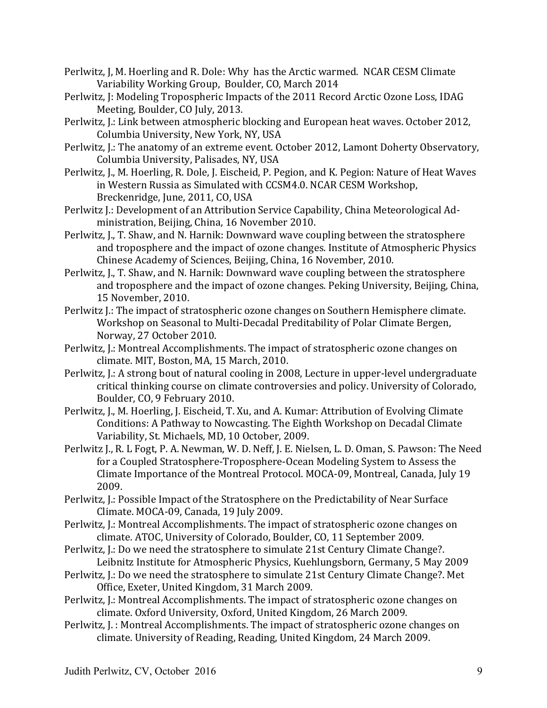- Perlwitz, J, M. Hoerling and R. Dole: Why has the Arctic warmed. NCAR CESM Climate Variability Working Group, Boulder, CO, March 2014
- Perlwitz, J: Modeling Tropospheric Impacts of the 2011 Record Arctic Ozone Loss, IDAG Meeting, Boulder, CO July, 2013.
- Perlwitz, J.: Link between atmospheric blocking and European heat waves. October 2012, Columbia University, New York, NY, USA
- Perlwitz, J.: The anatomy of an extreme event. October 2012, Lamont Doherty Observatory, Columbia University, Palisades, NY, USA
- Perlwitz, J., M. Hoerling, R. Dole, J. Eischeid, P. Pegion, and K. Pegion: Nature of Heat Waves in Western Russia as Simulated with CCSM4.0. NCAR CESM Workshop, Breckenridge, June, 2011, CO, USA
- Perlwitz J.: Development of an Attribution Service Capability, China Meteorological Administration, Beijing, China, 16 November 2010.
- Perlwitz, J., T. Shaw, and N. Harnik: Downward wave coupling between the stratosphere and troposphere and the impact of ozone changes. Institute of Atmospheric Physics Chinese Academy of Sciences, Beijing, China, 16 November, 2010.
- Perlwitz, J., T. Shaw, and N. Harnik: Downward wave coupling between the stratosphere and troposphere and the impact of ozone changes. Peking University, Beijing, China, 15 November, 2010.
- Perlwitz I.: The impact of stratospheric ozone changes on Southern Hemisphere climate. Workshop on Seasonal to Multi-Decadal Preditability of Polar Climate Bergen, Norway, 27 October 2010.
- Perlwitz, J.: Montreal Accomplishments. The impact of stratospheric ozone changes on climate. MIT, Boston, MA, 15 March, 2010.
- Perlwitz, J.: A strong bout of natural cooling in 2008, Lecture in upper-level undergraduate critical thinking course on climate controversies and policy. University of Colorado, Boulder, CO, 9 February 2010.
- Perlwitz, J., M. Hoerling, J. Eischeid, T. Xu, and A. Kumar: Attribution of Evolving Climate Conditions: A Pathway to Nowcasting. The Eighth Workshop on Decadal Climate Variability, St. Michaels, MD, 10 October, 2009.
- Perlwitz J., R. L Fogt, P. A. Newman, W. D. Neff, J. E. Nielsen, L. D. Oman, S. Pawson: The Need for a Coupled Stratosphere-Troposphere-Ocean Modeling System to Assess the Climate Importance of the Montreal Protocol. MOCA-09, Montreal, Canada, July 19 2009.
- Perlwitz, J.: Possible Impact of the Stratosphere on the Predictability of Near Surface Climate. MOCA-09, Canada, 19 July 2009.
- Perlwitz, J.: Montreal Accomplishments. The impact of stratospheric ozone changes on climate. ATOC, University of Colorado, Boulder, CO, 11 September 2009.
- Perlwitz, J.: Do we need the stratosphere to simulate 21st Century Climate Change?. Leibnitz Institute for Atmospheric Physics, Kuehlungsborn, Germany, 5 May 2009
- Perlwitz, J.: Do we need the stratosphere to simulate 21st Century Climate Change?. Met Office, Exeter, United Kingdom, 31 March 2009.
- Perlwitz, J.: Montreal Accomplishments. The impact of stratospheric ozone changes on climate. Oxford University, Oxford, United Kingdom, 26 March 2009.
- Perlwitz, J.: Montreal Accomplishments. The impact of stratospheric ozone changes on climate. University of Reading, Reading, United Kingdom, 24 March 2009.